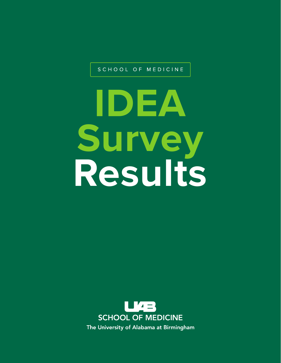SCHOOL OF MEDICINE

# **IDEA Survey Results**

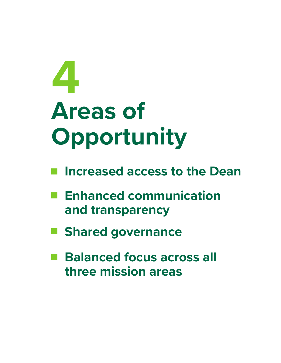# **Areas of Opportunity 4**

- **Increased access to the Dean**
- **Enhanced communication**   $\mathcal{L}(\mathcal{A})$ **and transparency**
- **Shared governance**  $\mathcal{L}_{\mathcal{A}}$
- **Balanced focus across all**  M. **three mission areas**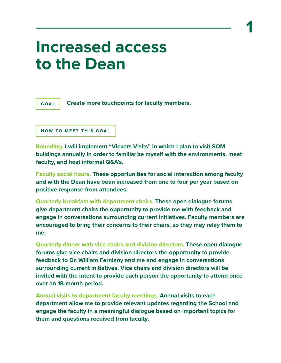#### **Increased access to the Dean**



**Create more touchpoints for faculty members.** 

```
HOW TO MEET THIS GOAL
```
**Rounding. I will implement "Vickers Visits" in which I plan to visit SOM buildings annually in order to familiarize myself with the environments, meet faculty, and host informal Q&A's.**

**Faculty social hours. These opportunities for social interaction among faculty and with the Dean have been increased from one to four per year based on positive response from attendees.** 

**Quarterly breakfast with department chairs. These open dialogue forums give department chairs the opportunity to provide me with feedback and engage in conversations surrounding current initiatives. Faculty members are encouraged to bring their concerns to their chairs, so they may relay them to me.** 

**Quarterly dinner with vice chairs and division directors. These open dialogue forums give vice chairs and division directors the opportunity to provide feedback to Dr. William Ferniany and me and engage in conversations surrounding current initiatives. Vice chairs and division directors will be invited with the intent to provide each person the opportunity to attend once over an 18-month period.**

**Annual visits to department faculty meetings. Annual visits to each department allow me to provide relevant updates regarding the School and engage the faculty in a meaningful dialogue based on important topics for them and questions received from faculty.**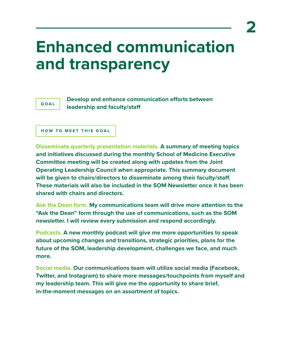## **Enhanced communication and transparency**



**Develop and enhance communication efforts between leadership and faculty/sta**

**HOW TO MEET THIS GOAL**

**Disseminate quarterly presentation materials. A summary of meeting topics and initiatives discussed during the monthly School of Medicine Executive Committee meeting will be created along with updates from the Joint Operating Leadership Council when appropriate. This summary document**  will be given to chairs/directors to disseminate among their faculty/staff. **These materials will also be included in the SOM Newsletter once it has been shared with chairs and directors.** 

**Ask the Dean form. My communications team will drive more attention to the "Ask the Dean" form through the use of communications, such as the SOM newsletter. I will review every submission and respond accordingly.**

**Podcasts. A new monthly podcast will give me more opportunities to speak about upcoming changes and transitions, strategic priorities, plans for the future of the SOM, leadership development, challenges we face, and much more.** 

**Social media. Our communications team will utilize social media (Facebook, Twitter, and Instagram) to share more messages/touchpoints from myself and my leadership team. This will give me the opportunity to share brief, in-the-moment messages on an assortment of topics.**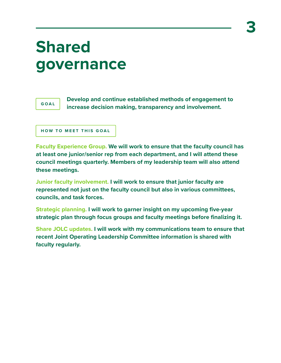## **Shared governance**



**Develop and continue established methods of engagement to increase decision making, transparency and involvement.** 

```
HOW TO MEET THIS GOAL
```
**Faculty Experience Group. We will work to ensure that the faculty council has at least one junior/senior rep from each department, and I will attend these council meetings quarterly. Members of my leadership team will also attend these meetings.** 

**Junior faculty involvement. I will work to ensure that junior faculty are represented not just on the faculty council but also in various committees, councils, and task forces.** 

**Strategic planning. I will work to garner insight on my upcoming five-year strategic plan through focus groups and faculty meetings before finalizing it.** 

**Share JOLC updates. I will work with my communications team to ensure that recent Joint Operating Leadership Committee information is shared with faculty regularly.**